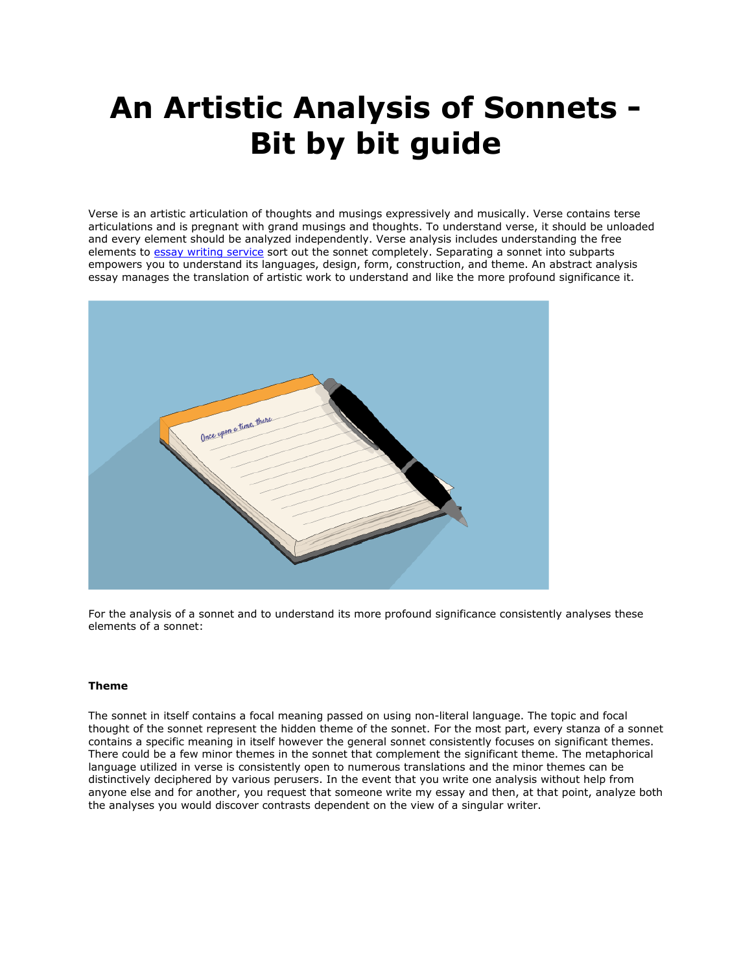# **An Artistic Analysis of Sonnets - Bit by bit guide**

Verse is an artistic articulation of thoughts and musings expressively and musically. Verse contains terse articulations and is pregnant with grand musings and thoughts. To understand verse, it should be unloaded and every element should be analyzed independently. Verse analysis includes understanding the free elements to [essay writing service](https://www.sharkpapers.com/) sort out the sonnet completely. Separating a sonnet into subparts empowers you to understand its languages, design, form, construction, and theme. An abstract analysis essay manages the translation of artistic work to understand and like the more profound significance it.



For the analysis of a sonnet and to understand its more profound significance consistently analyses these elements of a sonnet:

## **Theme**

The sonnet in itself contains a focal meaning passed on using non-literal language. The topic and focal thought of the sonnet represent the hidden theme of the sonnet. For the most part, every stanza of a sonnet contains a specific meaning in itself however the general sonnet consistently focuses on significant themes. There could be a few minor themes in the sonnet that complement the significant theme. The metaphorical language utilized in verse is consistently open to numerous translations and the minor themes can be distinctively deciphered by various perusers. In the event that you write one analysis without help from anyone else and for another, you request that someone write my essay and then, at that point, analyze both the analyses you would discover contrasts dependent on the view of a singular writer.